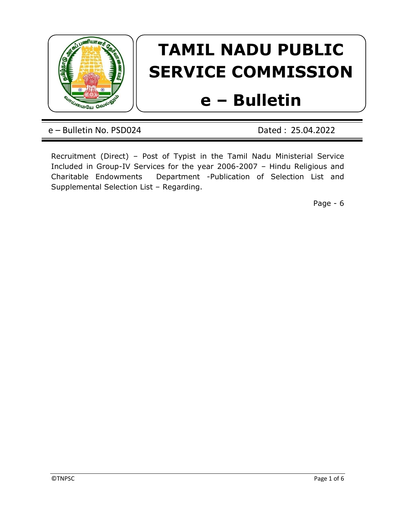

## TAMIL NADU PUBLIC SERVICE COMMISSION

## e – Bulletin

e – Bulletin No. PSD024 Dated : 25.04.2022

Recruitment (Direct) – Post of Typist in the Tamil Nadu Ministerial Service Included in Group-IV Services for the year 2006-2007 – Hindu Religious and Charitable Endowments Department -Publication of Selection List and Supplemental Selection List – Regarding.

Page - 6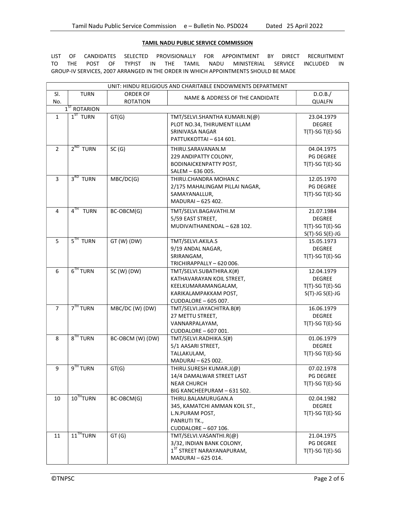## TAMIL NADU PUBLIC SERVICE COMMISSION

LIST OF CANDIDATES SELECTED PROVISIONALLY FOR APPOINTMENT BY DIRECT RECRUITMENT<br>TO THE POST OF TYPIST IN THE TAMIL NADU MINISTERIAL SERVICE INCLUDED IN THE POST OF TYPIST IN THE TAMIL NADU MINISTERIAL SERVICE INCLUDED IN GROUP-IV SERVICES, 2007 ARRANGED IN THE ORDER IN WHICH APPOINTMENTS SHOULD BE MADE

| UNIT: HINDU RELIGIOUS AND CHARITABLE ENDOWMENTS DEPARTMENT |                       |                  |                                       |                       |  |  |
|------------------------------------------------------------|-----------------------|------------------|---------------------------------------|-----------------------|--|--|
| SI.                                                        | <b>TURN</b>           | <b>ORDER OF</b>  |                                       | D.O.B./               |  |  |
| No.                                                        |                       | <b>ROTATION</b>  | NAME & ADDRESS OF THE CANDIDATE       | <b>QUALFN</b>         |  |  |
|                                                            | $1ST$ ROTARION        |                  |                                       |                       |  |  |
| $\mathbf{1}$                                               | $1ST$ TURN            | GT(G)            | TMT/SELVI.SHANTHA KUMARI.N(@)         | 23.04.1979            |  |  |
|                                                            |                       |                  | PLOT NO.34, THIRUMENT ILLAM           | <b>DEGREE</b>         |  |  |
|                                                            |                       |                  | SRINIVASA NAGAR                       | $T(T)-SG T(E)-SG$     |  |  |
|                                                            |                       |                  | PATTUKKOTTAI-614 601.                 |                       |  |  |
| $\overline{2}$                                             | $2^{ND}$ TURN         | SC(G)            | THIRU.SARAVANAN.M                     | 04.04.1975            |  |  |
|                                                            |                       |                  | 229 ANDIPATTY COLONY,                 | <b>PG DEGREE</b>      |  |  |
|                                                            |                       |                  | <b>BODINAICKENPATTY POST,</b>         | $T(T)$ -SG T(E)-SG    |  |  |
|                                                            |                       |                  | SALEM - 636 005.                      |                       |  |  |
| $\overline{3}$                                             | $3RD$ TURN            | MBC/DC(G)        | THIRU.CHANDRA MOHAN.C                 | 12.05.1970            |  |  |
|                                                            |                       |                  | 2/175 MAHALINGAM PILLAI NAGAR,        | <b>PG DEGREE</b>      |  |  |
|                                                            |                       |                  | SAMAYANALLUR,                         | $T(T)-SG T(E)-SG$     |  |  |
|                                                            |                       |                  | MADURAI-625 402.                      |                       |  |  |
| $\overline{4}$                                             | $4TH$ TURN            | BC-OBCM(G)       | TMT/SELVI.BAGAVATHI.M                 | 21.07.1984            |  |  |
|                                                            |                       |                  | 5/59 EAST STREET,                     | <b>DEGREE</b>         |  |  |
|                                                            |                       |                  | MUDIVAITHANENDAL - 628 102.           | $T(T)-SG T(E)-SG$     |  |  |
|                                                            |                       |                  |                                       | $S(T)$ -SG $S(E)$ -JG |  |  |
| 5                                                          | $5TH$ TURN            | $GT(W)$ (DW)     | TMT/SELVI.AKILA.S                     | 15.05.1973            |  |  |
|                                                            |                       |                  | 9/19 ANDAL NAGAR,                     | <b>DEGREE</b>         |  |  |
|                                                            |                       |                  | SRIRANGAM,                            | $T(T)-SG T(E)-SG$     |  |  |
|                                                            |                       |                  | TRICHIRAPPALLY - 620 006.             |                       |  |  |
| 6                                                          | $6TH$ TURN            | SC (W) (DW)      | TMT/SELVI.SUBATHIRA.K(#)              | 12.04.1979            |  |  |
|                                                            |                       |                  | KATHAVARAYAN KOIL STREET,             | <b>DEGREE</b>         |  |  |
|                                                            |                       |                  | KEELKUMARAMANGALAM,                   | $T(T)-SG T(E)-SG$     |  |  |
|                                                            |                       |                  | KARIKALAMPAKKAM POST,                 | $S(T)-JG S(E)-JG$     |  |  |
|                                                            |                       |                  | CUDDALORE - 605 007.                  |                       |  |  |
| $\overline{7}$                                             | 7 <sup>TH</sup> TURN  | MBC/DC (W) (DW)  | TMT/SELVI.JAYACHITRA.B(#)             | 16.06.1979            |  |  |
|                                                            |                       |                  | 27 METTU STREET,                      | <b>DEGREE</b>         |  |  |
|                                                            |                       |                  | VANNARPALAYAM,                        | $T(T)$ -SG T(E)-SG    |  |  |
|                                                            |                       |                  | CUDDALORE - 607 001.                  |                       |  |  |
| 8                                                          | $8TH$ TURN            | BC-OBCM (W) (DW) | TMT/SELVI.RADHIKA.S(#)                | 01.06.1979            |  |  |
|                                                            |                       |                  | 5/1 AASARI STREET,                    | <b>DEGREE</b>         |  |  |
|                                                            |                       |                  | TALLAKULAM,                           | $T(T)-SG T(E)-SG$     |  |  |
|                                                            |                       |                  | MADURAI - 625 002.                    |                       |  |  |
| 9                                                          | 9 <sup>TH</sup> TURN  | GT(G)            | THIRU.SURESH KUMAR.J(@)               | 07.02.1978            |  |  |
|                                                            |                       |                  | 14/4 DAMALWAR STREET LAST             | <b>PG DEGREE</b>      |  |  |
|                                                            |                       |                  | NEAR CHURCH                           | $T(T)$ -SG T(E)-SG    |  |  |
|                                                            | 10 <sup>TH</sup> TURN |                  | BIG KANCHEEPURAM - 631 502.           |                       |  |  |
| 10                                                         |                       | BC-OBCM(G)       | THIRU.BALAMURUGAN.A                   | 02.04.1982            |  |  |
|                                                            |                       |                  | 345, KAMATCHI AMMAN KOIL ST.,         | DEGREE                |  |  |
|                                                            |                       |                  | L.N.PURAM POST,                       | $T(T)$ -SG T(E)-SG    |  |  |
|                                                            |                       |                  | PANRUTI TK.,                          |                       |  |  |
|                                                            |                       |                  | CUDDALORE - 607 106.                  |                       |  |  |
| 11                                                         | 11 <sup>TH</sup> TURN | GT(G)            | TMT/SELVI.VASANTHI.R(@)               | 21.04.1975            |  |  |
|                                                            |                       |                  | 3/32, INDIAN BANK COLONY,             | PG DEGREE             |  |  |
|                                                            |                       |                  | 1 <sup>ST</sup> STREET NARAYANAPURAM, | $T(T)$ -SG T(E)-SG    |  |  |
|                                                            |                       |                  | MADURAI - 625 014.                    |                       |  |  |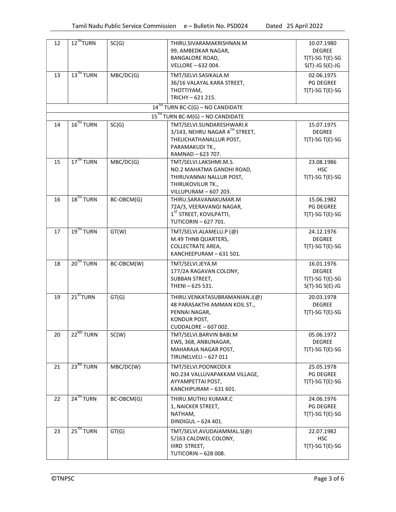| 12 | 12 <sup>TH</sup> TURN   | SC(G)      | THIRU.SIVARAMAKRISHNAN.M                                        | 10.07.1980                     |
|----|-------------------------|------------|-----------------------------------------------------------------|--------------------------------|
|    |                         |            | 99, AMBEDKAR NAGAR,                                             | <b>DEGREE</b>                  |
|    |                         |            | <b>BANGALORE ROAD,</b>                                          | $T(T)-SG T(E)-SG$              |
|    |                         |            | VELLORE - 632 004.                                              | $S(T)-JG S(E)-JG$              |
| 13 | 13 <sup>TH</sup> TURN   | MBC/DC(G)  | TMT/SELVI.SASIKALA.M                                            | 02.06.1975                     |
|    |                         |            | 36/16 VALAYAL KARA STREET,                                      | <b>PG DEGREE</b>               |
|    |                         |            | THOTTIYAM,                                                      | $T(T)-SGT(E)-SG$               |
|    |                         |            | TRICHY-621 215.                                                 |                                |
|    |                         |            | $14TH$ TURN BC-C(G) – NO CANDIDATE                              |                                |
|    |                         |            | $15TH$ TURN BC-M(G) – NO CANDIDATE                              |                                |
| 14 | $16$ <sup>TH</sup> TURN | SC(G)      | TMT/SELVI.SUNDARESHWARI.K                                       | 15.07.1975                     |
|    |                         |            | 3/143, NEHRU NAGAR 4TH STREET,                                  | <b>DEGREE</b>                  |
|    |                         |            | THELICHATHANALLUR POST,                                         | $T(T)-SGT(E)-SG$               |
|    |                         |            | PARAMAKUDI TK.,                                                 |                                |
|    |                         |            | RAMNAD-623 707.                                                 |                                |
| 15 | $17TH$ TURN             | MBC/DC(G)  | TMT/SELVI.LAKSHMI.M.S.                                          | 23.08.1986                     |
|    |                         |            | NO.2 MAHATMA GANDHI ROAD,                                       | <b>HSC</b>                     |
|    |                         |            | THIRUVANNAI NALLUR POST,                                        | $T(T)-SGT(E)-SG$               |
|    |                         |            | THIRUKOVILUR TK.,                                               |                                |
|    | $18$ <sup>TH</sup> TURN |            | VILLUPURAM - 607 203.                                           |                                |
| 16 |                         | BC-OBCM(G) | THIRU.SARAVANAKUMAR.M                                           | 15.06.1982<br><b>PG DEGREE</b> |
|    |                         |            | 72A/3, VEERAVANGI NAGAR,<br>1 <sup>ST</sup> STREET, KOVILPATTI, |                                |
|    |                         |            | <b>TUTICORIN-627701.</b>                                        | $T(T)-SGT(E)-SG$               |
|    |                         |            |                                                                 |                                |
| 17 | 19 <sup>TH</sup> TURN   | GT(W)      | TMT/SELVI.ALAMELU.P (@)                                         | 24.12.1976                     |
|    |                         |            | M.49 THNB QUARTERS,                                             | <b>DEGREE</b>                  |
|    |                         |            | <b>COLLECTRATE AREA,</b>                                        | $T(T)-SGT(E)-SG$               |
|    |                         |            | KANCHEEPURAM - 631 501.                                         |                                |
| 18 | $20TH$ TURN             | BC-OBCM(W) | TMT/SELVI.JEYA.M                                                | 16.01.1976                     |
|    |                         |            | 177/2A RAGAVAN COLONY,                                          | <b>DEGREE</b>                  |
|    |                         |            | SUBBAN STREET,                                                  | $T(T)-SG T(E)-SG$              |
|    |                         |            | THENI-625 531.                                                  | $S(T)-SG S(E)-JG$              |
| 19 | $21^{ST}$ TURN          | GT(G)      | THIRU.VENKATASUBRAMANIAN.J(@)                                   | 20.03.1978                     |
|    |                         |            | 48 PARASAKTHI AMMAN KOIL ST.,                                   | <b>DEGREE</b>                  |
|    |                         |            | PENNAI NAGAR,                                                   | $T(T)-SG T(E)-SG$              |
|    |                         |            | KONDUR POST,                                                    |                                |
|    |                         |            | CUDDALORE - 607 002.                                            |                                |
| 20 | $22^{ND}$ TURN          | SC(W)      | TMT/SELVI.BARVIN BABI.M                                         | 05.06.1972                     |
|    |                         |            | EWS, 368, ANBUNAGAR,                                            | <b>DEGREE</b>                  |
|    |                         |            | MAHARAJA NAGAR POST,                                            | $T(T)-SG T(E)-SG$              |
|    |                         |            | <b>TIRUNELVELI-627011</b>                                       |                                |
| 21 | 23 <sup>RD</sup> TURN   | MBC/DC(W)  | TMT/SELVI.POONKODI.K                                            | 25.05.1978                     |
|    |                         |            | NO.234 VALLUVAPAKKAM VILLAGE,                                   | PG DEGREE                      |
|    |                         |            | AYYAMPETTAI POST,                                               | $T(T)$ -SG T(E)-SG             |
|    |                         |            | KANCHIPURAM - 631 601.                                          |                                |
| 22 | 24 <sup>TH</sup> TURN   | BC-OBCM(G) | THIRU.MUTHU KUMAR.C                                             | 24.06.1976                     |
|    |                         |            | 1, NAICKER STREET,                                              | PG DEGREE                      |
|    |                         |            | NATHAM,                                                         | $T(T)-SGT(E)-SG$               |
|    |                         |            | DINDIGUL - 624 401.                                             |                                |
| 23 | 25 <sup>TH</sup> TURN   | GT(G)      | TMT/SELVI.AVUDAIAMMAL.S(@)                                      | 22.07.1982                     |
|    |                         |            | 5/163 CALDWEL COLONY,                                           | <b>HSC</b>                     |
|    |                         |            | IIIRD STREET,                                                   | $T(T)-SGT(E)-SG$               |
|    |                         |            | TUTICORIN - 628 008.                                            |                                |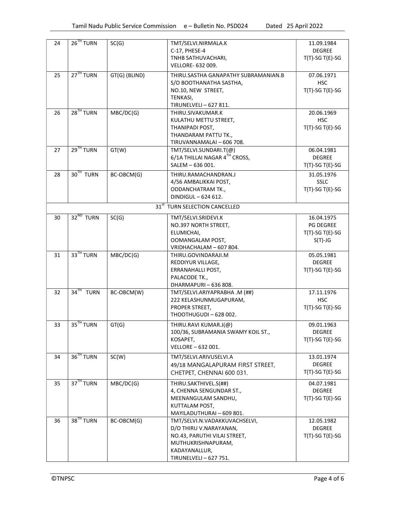| 24 | 26 <sup>TH</sup> TURN   | SC(G)         | TMT/SELVI.NIRMALA.K                       | 11.09.1984         |
|----|-------------------------|---------------|-------------------------------------------|--------------------|
|    |                         |               | C-17, PHESE-4                             | <b>DEGREE</b>      |
|    |                         |               | TNHB SATHUVACHARI,                        | $T(T)-SGT(E)-SG$   |
|    |                         |               | <b>VELLORE- 632 009.</b>                  |                    |
| 25 | 27 <sup>TH</sup> TURN   | GT(G) (BLIND) | THIRU.SASTHA GANAPATHY SUBRAMANIAN.B      | 07.06.1971         |
|    |                         |               | S/O BOOTHANATHA SASTHA,                   | <b>HSC</b>         |
|    |                         |               | NO.10, NEW STREET,                        | $T(T)-SGT(E)-SG$   |
|    |                         |               | TENKASI,                                  |                    |
|    |                         |               | TIRUNELVELI - 627 811.                    |                    |
| 26 | $28TH$ TURN             | MBC/DC(G)     | THIRU.SIVAKUMAR.K                         | 20.06.1969         |
|    |                         |               | KULATHU METTU STREET,                     | <b>HSC</b>         |
|    |                         |               | THANIPADI POST,                           | $T(T)-SGT(E)-SG$   |
|    |                         |               | THANDARAM PATTU TK.,                      |                    |
|    |                         |               | TIRUVANNAMALAI - 606 708.                 |                    |
| 27 | 29 <sup>TH</sup> TURN   | GT(W)         | TMT/SELVI.SUNDARI.T(@)                    | 06.04.1981         |
|    |                         |               | 6/1A THILLAI NAGAR 4TH CROSS,             | <b>DEGREE</b>      |
|    |                         |               | SALEM - 636 001.                          | $T(T)-SGT(E)-SG$   |
| 28 | 30 <sup>TH</sup> TURN   | BC-OBCM(G)    | THIRU.RAMACHANDRAN.J                      | 31.05.1976         |
|    |                         |               | 4/56 AMBALIKKAI POST,                     | <b>SSLC</b>        |
|    |                         |               | <b>ODDANCHATRAM TK.,</b>                  | $T(T)-SGT(E)-SG$   |
|    |                         |               | DINDIGUL - 624 612.                       |                    |
|    |                         |               | 31 <sup>st</sup> TURN SELECTION CANCELLED |                    |
| 30 | 32 <sup>ND</sup> TURN   | SC(G)         | TMT/SELVI.SRIDEVI.K                       | 16.04.1975         |
|    |                         |               | NO.397 NORTH STREET,                      | <b>PG DEGREE</b>   |
|    |                         |               | ELUMICHAI,                                | $T(T)-SG T(E)-SG$  |
|    |                         |               | OOMANGALAM POST,                          | $S(T)-JG$          |
|    |                         |               | VRIDHACHALAM - 607 804.                   |                    |
| 31 | 33 <sup>TH</sup> TURN   | MBC/DC(G)     | THIRU.GOVINDARAJI.M                       | 05.05.1981         |
|    |                         |               | REDDIYUR VILLAGE,                         | <b>DEGREE</b>      |
|    |                         |               | ERRANAHALLI POST,                         | $T(T)-SGT(E)-SG$   |
|    |                         |               | PALACODE TK.,                             |                    |
|    |                         |               | DHARMAPURI-636808.                        |                    |
| 32 | $34$ <sup>TH</sup> TURN | BC-OBCM(W)    | TMT/SELVI.ARIYAPRABHA .M (##)             | 17.11.1976         |
|    |                         |               | 222 KELASHUNMUGAPURAM,                    | <b>HSC</b>         |
|    |                         |               | PROPER STREET,                            | $T(T)-SGT(E)-SG$   |
|    |                         |               | THOOTHUGUDI - 628 002.                    |                    |
| 33 | 35 <sup>TH</sup> TURN   | GT(G)         | THIRU.RAVI KUMAR.J(@)                     | 09.01.1963         |
|    |                         |               | 100/36, SUBRAMANIA SWAMY KOIL ST.,        | <b>DEGREE</b>      |
|    |                         |               | KOSAPET,                                  | $T(T)-SGT(E)-SG$   |
|    |                         |               | VELLORE - 632 001.                        |                    |
| 34 | 36 <sup>TH</sup> TURN   | SC(W)         | TMT/SELVI.ARIVUSELVI.A                    | 13.01.1974         |
|    |                         |               | 49/18 MANGALAPURAM FIRST STREET,          | <b>DEGREE</b>      |
|    |                         |               | CHETPET, CHENNAI 600 031.                 | $T(T)-SGT(E)-SG$   |
|    |                         |               |                                           |                    |
| 35 | 37 <sup>TH</sup> TURN   | MBC/DC(G)     | THIRU.SAKTHIVEL.S(##)                     | 04.07.1981         |
|    |                         |               | 4, CHENNA SENGUNDAR ST.,                  | <b>DEGREE</b>      |
|    |                         |               | MEENANGULAM SANDHU,                       | $T(T)$ -SG T(E)-SG |
|    |                         |               | KUTTALAM POST,                            |                    |
|    | 38 <sup>TH</sup> TURN   |               | MAYILADUTHURAI - 609 801.                 |                    |
| 36 |                         | BC-OBCM(G)    | TMT/SELVI.N.VADAKKUVACHSELVI,             | 12.05.1982         |
|    |                         |               | D/O THIRU V.NARAYANAN,                    | <b>DEGREE</b>      |
|    |                         |               | NO.43, PARUTHI VILAI STREET,              | $T(T)$ -SG T(E)-SG |
|    |                         |               | MUTHUKRISHNAPURAM,<br>KADAYANALLUR,       |                    |
|    |                         |               | TIRUNELVELI - 627 751.                    |                    |
|    |                         |               |                                           |                    |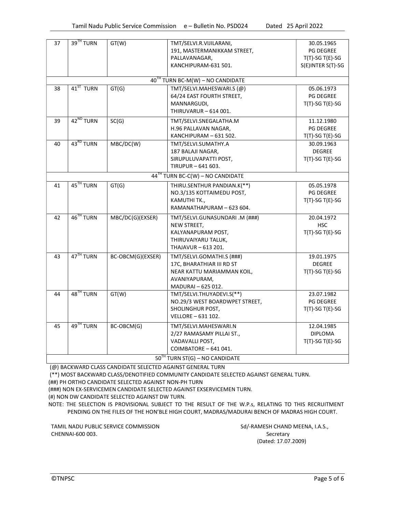| 37                               | 39 <sup>TH</sup> TURN                 | GT(W)             | TMT/SELVI.R.VIJILARANI,                         | 30.05.1965        |  |  |
|----------------------------------|---------------------------------------|-------------------|-------------------------------------------------|-------------------|--|--|
|                                  |                                       |                   | 191, MASTERMANIKKAM STREET,                     | <b>PG DEGREE</b>  |  |  |
|                                  |                                       |                   | PALLAVANAGAR.                                   | $T(T)-SGT(E)-SG$  |  |  |
|                                  |                                       |                   | KANCHIPURAM-631 501.                            | S(E)INTER S(T)-SG |  |  |
|                                  |                                       |                   |                                                 |                   |  |  |
|                                  | $40^{TH}$ TURN BC-M(W) - NO CANDIDATE |                   |                                                 |                   |  |  |
| 38                               | 41 <sup>ST</sup> TURN                 | GT(G)             | TMT/SELVI.MAHESWARI.S (@)                       | 05.06.1973        |  |  |
|                                  |                                       |                   | 64/24 EAST FOURTH STREET,                       | <b>PG DEGREE</b>  |  |  |
|                                  |                                       |                   | MANNARGUDI,<br>THIRUVARUR - 614 001.            | $T(T)-SGT(E)-SG$  |  |  |
|                                  |                                       |                   |                                                 |                   |  |  |
| 39                               | 42 <sup>ND</sup> TURN                 | SC(G)             | TMT/SELVI.SNEGALATHA.M                          | 11.12.1980        |  |  |
|                                  |                                       |                   | H.96 PALLAVAN NAGAR,                            | <b>PG DEGREE</b>  |  |  |
|                                  |                                       |                   | KANCHIPURAM - 631 502.                          | $T(T)-SGT(E)-SG$  |  |  |
| 40                               | 43 <sup>RD</sup> TURN                 | MBC/DC(W)         | TMT/SELVI.SUMATHY.A                             | 30.09.1963        |  |  |
|                                  |                                       |                   | 187 BALAJI NAGAR,                               | <b>DEGREE</b>     |  |  |
|                                  |                                       |                   | SIRUPULUVAPATTI POST,                           | $T(T)-SGT(E)-SG$  |  |  |
|                                  |                                       |                   | TIRUPUR-641 603.                                |                   |  |  |
|                                  |                                       |                   | $44TH$ TURN BC-C(W) – NO CANDIDATE              |                   |  |  |
| 41                               | 45 <sup>TH</sup> TURN                 | GT(G)             | THIRU.SENTHUR PANDIAN.K(**)                     | 05.05.1978        |  |  |
|                                  |                                       |                   | NO.3/135 KOTTAIMEDU POST,                       | <b>PG DEGREE</b>  |  |  |
|                                  |                                       |                   | KAMUTHI TK.,                                    | $T(T)-SGT(E)-SG$  |  |  |
|                                  |                                       |                   | RAMANATHAPURAM - 623 604.                       |                   |  |  |
| 42                               | 46 <sup>TH</sup> TURN                 | MBC/DC(G)(EXSER)  | TMT/SELVI.GUNASUNDARI.M (###)                   | 20.04.1972        |  |  |
|                                  |                                       |                   | NEW STREET,                                     | <b>HSC</b>        |  |  |
|                                  |                                       |                   | KALYANAPURAM POST,                              | $T(T)-SGT(E)-SG$  |  |  |
|                                  |                                       |                   | THIRUVAIYARU TALUK,                             |                   |  |  |
|                                  |                                       |                   | THAJAVUR - 613 201.                             |                   |  |  |
| 43                               | 47 <sup>TH</sup> TURN                 | BC-OBCM(G)(EXSER) | TMT/SELVI.GOMATHI.S (###)                       | 19.01.1975        |  |  |
|                                  |                                       |                   | 17C, BHARATHIAR III RD ST                       | <b>DEGREE</b>     |  |  |
|                                  |                                       |                   | NEAR KATTU MARIAMMAN KOIL,                      | $T(T)-SG T(E)-SG$ |  |  |
|                                  |                                       |                   | AVANIYAPURAM,                                   |                   |  |  |
| 44                               | 48 <sup>TH</sup> TURN                 | GT(W)             | MADURAI - 625 012.<br>TMT/SELVI.THUYADEVI.S(**) | 23.07.1982        |  |  |
|                                  |                                       |                   | NO.29/3 WEST BOARDWPET STREET,                  | <b>PG DEGREE</b>  |  |  |
|                                  |                                       |                   | SHOLINGHUR POST,                                | $T(T)-SGT(E)-SG$  |  |  |
|                                  |                                       |                   | VELLORE - 631 102.                              |                   |  |  |
|                                  | 49 <sup>TH</sup> TURN                 |                   |                                                 |                   |  |  |
| 45                               |                                       | BC-OBCM(G)        | TMT/SELVI.MAHESWARI.N                           | 12.04.1985        |  |  |
|                                  |                                       |                   | 2/27 RAMASAMY PILLAI ST.,                       | <b>DIPLOMA</b>    |  |  |
|                                  |                                       |                   | VADAVALLI POST,<br>COIMBATORE - 641 041.        | $T(T)-SG T(E)-SG$ |  |  |
|                                  |                                       |                   |                                                 |                   |  |  |
| $50TH$ TURN ST(G) – NO CANDIDATE |                                       |                   |                                                 |                   |  |  |

(@) BACKWARD CLASS CANDIDATE SELECTED AGAINST GENERAL TURN

(\*\*) MOST BACKWARD CLASS/DENOTIFIED COMMUNITY CANDIDATE SELECTED AGAINST GENERAL TURN.

(##) PH ORTHO CANDIDATE SELECTED AGAINST NON-PH TURN

(###) NON EX-SERVICEMEN CANDIDATE SELECTED AGAINST EXSERVICEMEN TURN.

(#) NON DW CANDIDATE SELECTED AGAINST DW TURN.

NOTE: THE SELECTION IS PROVISIONAL SUBJECT TO THE RESULT OF THE W.P.s, RELATING TO THIS RECRUITMENT PENDING ON THE FILES OF THE HON'BLE HIGH COURT, MADRAS/MADURAI BENCH OF MADRAS HIGH COURT.

TAMIL NADU PUBLIC SERVICE COMMISSION Sd/-RAMESH CHAND MEENA, I.A.S., CHENNAI-600 003. Secretary

(Dated: 17.07.2009)